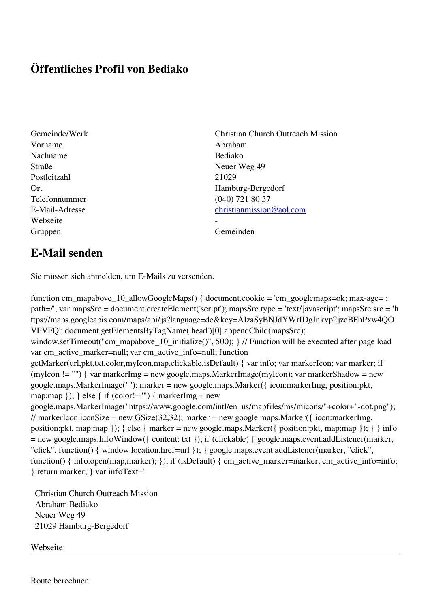## **Öffentliches Profil von Bediako**

- Vorname Abraham Nachname Bediako Straße Neuer Weg 49 Postleitzahl 21029 Telefonnummer (040) 721 80 37 Webseite Gruppen Gemeinden Gemeinden Gemeinden Gemeinden Gemeinden Gemeinden Gemeinden Gemeinden Gemeinden Gemeinden G
- Gemeinde/Werk Christian Church Outreach Mission Ort Hamburg-Bergedorf E-Mail-Adresse [christianmission@aol.com](mailto:christianmission@aol.com)

## **E-Mail senden**

Sie müssen sich anmelden, um E-Mails zu versenden.

function cm\_mapabove\_10\_allowGoogleMaps() { document.cookie = 'cm\_googlemaps=ok; max-age= ; path=/'; var mapsSrc = document.createElement('script'); mapsSrc.type = 'text/javascript'; mapsSrc.src = 'h ttps://maps.googleapis.com/maps/api/js?language=de&key=AIzaSyBNJdYWrIDgJnkvp2jzeBFhPxw4QO VFVFQ'; document.getElementsByTagName('head')[0].appendChild(mapsSrc); window.setTimeout("cm\_mapabove\_10\_initialize()", 500); } // Function will be executed after page load var cm\_active\_marker=null; var cm\_active\_info=null; function getMarker(url,pkt,txt,color,myIcon,map,clickable,isDefault) { var info; var markerIcon; var marker; if (myIcon != "") { var markerImg = new google.maps.MarkerImage(myIcon); var markerShadow = new google.maps.MarkerImage(""); marker = new google.maps.Marker({ icon:markerImg, position:pkt, map:map  $\}$ ;  $\}$  else  $\{$  if (color!="")  $\{$  markerImg = new google.maps.MarkerImage("https://www.google.com/intl/en\_us/mapfiles/ms/micons/"+color+"-dot.png"); // markerIcon.iconSize = new GSize(32,32); marker = new google.maps.Marker({ $i$ con:markerImg, position:pkt, map:map }); } else { marker = new google.maps.Marker({ position:pkt, map:map }); } } info = new google.maps.InfoWindow({ content: txt }); if (clickable) { google.maps.event.addListener(marker, "click", function() { window.location.href=url }); } google.maps.event.addListener(marker, "click", function() { info.open(map,marker); }); if (isDefault) { cm\_active\_marker=marker; cm\_active\_info=info; } return marker; } var infoText='

 Christian Church Outreach Mission Abraham Bediako Neuer Weg 49 21029 Hamburg-Bergedorf

Webseite: